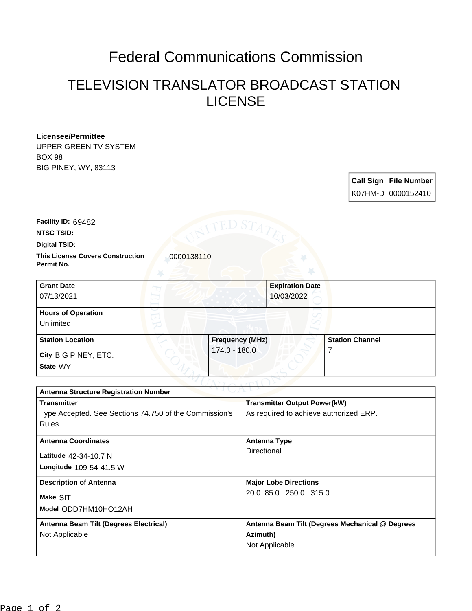## Federal Communications Commission

## TELEVISION TRANSLATOR BROADCAST STATION LICENSE

| Licensee/Permittee          |  |  |
|-----------------------------|--|--|
| UPPER GREEN TV SYSTEM       |  |  |
| <b>BOX 98</b>               |  |  |
| <b>BIG PINEY, WY, 83113</b> |  |  |

**Call Sign File Number** K07HM-D 0000152410

**Facility ID:** 69482

**NTSC TSID:**

**Digital TSID:**

**This License Covers Construction 10000138110 Permit No.**

| <b>Grant Date</b><br>07/13/2021        | <b>Expiration Date</b><br>10/03/2022 |                        |
|----------------------------------------|--------------------------------------|------------------------|
| <b>Hours of Operation</b><br>Unlimited |                                      |                        |
| <b>Station Location</b>                | <b>Frequency (MHz)</b>               | <b>Station Channel</b> |
| City BIG PINEY, ETC.<br>State WY       | 174.0 - 180.0                        |                        |

| マスキンパキシャ<br><b>Antenna Structure Registration Number</b> |                                                 |  |  |  |
|----------------------------------------------------------|-------------------------------------------------|--|--|--|
| <b>Transmitter</b>                                       | <b>Transmitter Output Power(kW)</b>             |  |  |  |
| Type Accepted. See Sections 74.750 of the Commission's   | As required to achieve authorized ERP.          |  |  |  |
| Rules.                                                   |                                                 |  |  |  |
| <b>Antenna Coordinates</b>                               | Antenna Type                                    |  |  |  |
| Latitude 42-34-10.7 N                                    | Directional                                     |  |  |  |
| Longitude 109-54-41.5 W                                  |                                                 |  |  |  |
| <b>Description of Antenna</b>                            | <b>Major Lobe Directions</b>                    |  |  |  |
| Make SIT                                                 | 20.0 85.0 250.0 315.0                           |  |  |  |
| Model ODD7HM10HO12AH                                     |                                                 |  |  |  |
| Antenna Beam Tilt (Degrees Electrical)                   | Antenna Beam Tilt (Degrees Mechanical @ Degrees |  |  |  |
| Not Applicable                                           | Azimuth)                                        |  |  |  |
|                                                          | Not Applicable                                  |  |  |  |
|                                                          |                                                 |  |  |  |